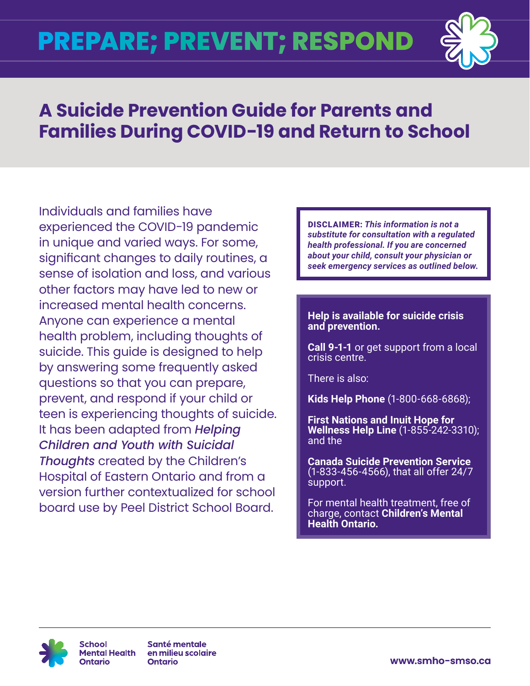

## **A Suicide Prevention Guide for Parents and Families During COVID-19 and Return to School**

Individuals and families have experienced the COVID-19 pandemic in unique and varied ways. For some, significant changes to daily routines, a sense of isolation and loss, and various other factors may have led to new or increased mental health concerns. Anyone can experience a mental health problem, including thoughts of suicide. This guide is designed to help by answering some frequently asked questions so that you can prepare, prevent, and respond if your child or teen is experiencing thoughts of suicide. It has been adapted from *[Helping](https://www.cheo.on.ca/en/resources-and-support/resources/P5012E.pdf)  [Children and Youth with Suicidal](https://www.cheo.on.ca/en/resources-and-support/resources/P5012E.pdf)  [Thoughts](https://www.cheo.on.ca/en/resources-and-support/resources/P5012E.pdf)* created by the Children's Hospital of Eastern Ontario and from a version further contextualized for school board use by Peel District School Board.

DISCLAIMER: *This information is not a substitute for consultation with a regulated health professional. If you are concerned about your child, consult your physician or seek emergency services as outlined below.*

### **Help is available for suicide crisis and prevention.**

**Call 9-1-1** or get support from a local crisis centre.

There is also:

**[Kids Help Phone](https://kidshelpphone.ca/)** (1-800-668-6868);

**First Nations and Inuit Hope for Wellness Help Line** (1-855-242-3310); and the

**Canada Suicide Prevention Service** (1-833-456-4566), that all offer 24/7 support.

For mental health treatment, free of charge, contact **[Children's Mental](https://cmho.org/findhelp/)  [Health Ontario.](https://cmho.org/findhelp/)**



Santé mentale en milieu scolaire **Ontario** 

**[www.smho-smso.ca](https://smho-smso.ca)**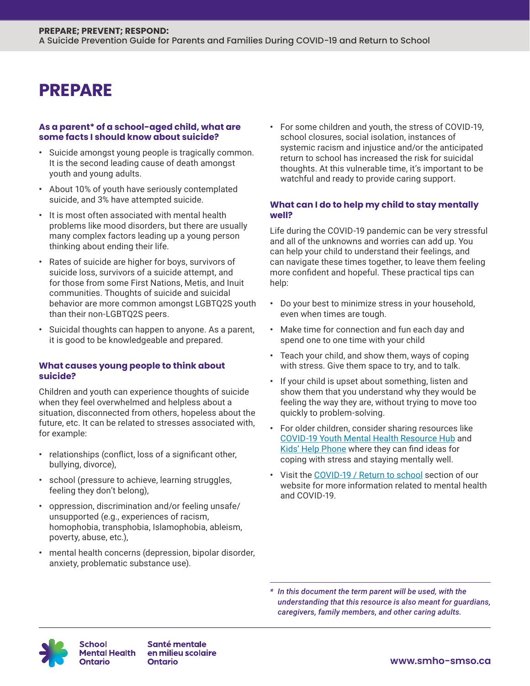### **PREPARE**

#### **As a parent\* of a school-aged child, what are some facts I should know about suicide?**

- **•** Suicide amongst young people is tragically common. It is the second leading cause of death amongst youth and young adults.
- **•** About 10% of youth have seriously contemplated suicide, and 3% have attempted suicide.
- **•** It is most often associated with mental health problems like mood disorders, but there are usually many complex factors leading up a young person thinking about ending their life.
- **•** Rates of suicide are higher for boys, survivors of suicide loss, survivors of a suicide attempt, and for those from some First Nations, Metis, and Inuit communities. Thoughts of suicide and suicidal behavior are more common amongst LGBTQ2S youth than their non-LGBTQ2S peers.
- **•** Suicidal thoughts can happen to anyone. As a parent, it is good to be knowledgeable and prepared.

#### **What causes young people to think about suicide?**

Children and youth can experience thoughts of suicide when they feel overwhelmed and helpless about a situation, disconnected from others, hopeless about the future, etc. It can be related to stresses associated with, for example:

- **•** relationships (conflict, loss of a significant other, bullying, divorce),
- **•** school (pressure to achieve, learning struggles, feeling they don't belong),
- **•** oppression, discrimination and/or feeling unsafe/ unsupported (e.g., experiences of racism, homophobia, transphobia, Islamophobia, ableism, poverty, abuse, etc.),
- **•** mental health concerns (depression, bipolar disorder, anxiety, problematic substance use).

**•** For some children and youth, the stress of COVID-19, school closures, social isolation, instances of systemic racism and injustice and/or the anticipated return to school has increased the risk for suicidal thoughts. At this vulnerable time, it's important to be watchful and ready to provide caring support.

### **What can I do to help my child to stay mentally well?**

Life during the COVID-19 pandemic can be very stressful and all of the unknowns and worries can add up. You can help your child to understand their feelings, and can navigate these times together, to leave them feeling more confident and hopeful. These practical tips can help:

- **•** Do your best to minimize stress in your household, even when times are tough.
- **•** Make time for connection and fun each day and spend one to one time with your child
- **•** Teach your child, and show them, ways of coping with stress. Give them space to try, and to talk.
- **•** If your child is upset about something, listen and show them that you understand why they would be feeling the way they are, without trying to move too quickly to problem-solving.
- **•** For older children, consider sharing resources like [COVID-19 Youth Mental Health Resource Hub](https://jack.org/Resources/COVID-19-Youth-Mental-Health-Resource-Hub?lang=en-ca) and [Kids' Help Phone](https://kidshelpphone.ca/) where they can find ideas for coping with stress and staying mentally well.
- **•** Visit the [COVID-19 / Return to school](https://smho-smso.ca/covid-19) section of our website for more information related to mental health and COVID-19.

*\* In this document the term parent will be used, with the understanding that this resource is also meant for guardians, caregivers, family members, and other caring adults.*



en milieu scolaire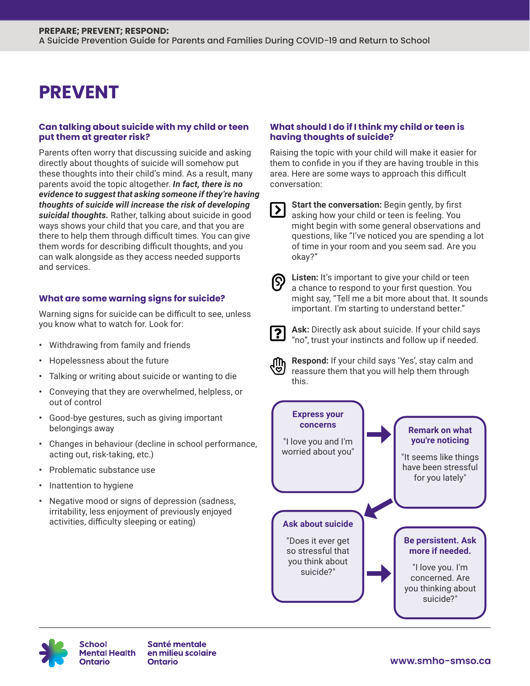## **PREVENT**

### **Can talking about suicide with my child or teen put them at greater risk?**

Parents often worry that discussing suicide and asking directly about thoughts of suicide will somehow put these thoughts into their child's mind. As a result, many parents avoid the topic altogether. *In fact, there is no evidence to suggest that asking someone if they're having thoughts of suicide will increase the risk of developing suicidal thoughts.* Rather, talking about suicide in good ways shows your child that you care, and that you are there to help them through difficult times. You can give them words for describing difficult thoughts, and you can walk alongside as they access needed supports and services.

### **What are some warning signs for suicide?**

Warning signs for suicide can be difficult to see, unless you know what to watch for. Look for:

- **•** Withdrawing from family and friends
- **•** Hopelessness about the future
- **•** Talking or writing about suicide or wanting to die
- **•** Conveying that they are overwhelmed, helpless, or out of control
- **•** Good-bye gestures, such as giving important belongings away
- **•** Changes in behaviour (decline in school performance, acting out, risk-taking, etc.)
- **•** Problematic substance use
- **•** Inattention to hygiene
- **•** Negative mood or signs of depression (sadness, irritability, less enjoyment of previously enjoyed activities, difficulty sleeping or eating)

### **What should I do if I think my child or teen is having thoughts of suicide?**

Raising the topic with your child will make it easier for them to confide in you if they are having trouble in this area. Here are some ways to approach this difficult conversation:

**Start the conversation:** Begin gently, by first asking how your child or teen is feeling. You might begin with some general observations and questions, like "I've noticed you are spending a lot of time in your room and you seem sad. Are you okay?"

|--|

**Listen:** It's important to give your child or teen a chance to respond to your first question. You might say, "Tell me a bit more about that. It sounds important. I'm starting to understand better."



**Ask:** Directly ask about suicide. If your child says "no", trust your instincts and follow up if needed.



**Respond:** If your child says 'Yes', stay calm and reassure them that you will help them through this.





**School Mental Health** Ontario

Santé mentale en milieu scolaire **Ontario**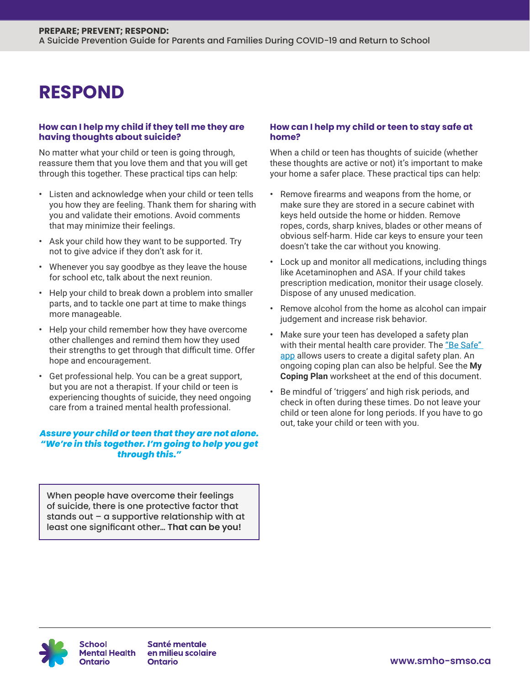### **RESPOND**

#### **How can I help my child if they tell me they are having thoughts about suicide?**

No matter what your child or teen is going through, reassure them that you love them and that you will get through this together. These practical tips can help:

- **•** Listen and acknowledge when your child or teen tells you how they are feeling. Thank them for sharing with you and validate their emotions. Avoid comments that may minimize their feelings.
- **•** Ask your child how they want to be supported. Try not to give advice if they don't ask for it.
- **•** Whenever you say goodbye as they leave the house for school etc, talk about the next reunion.
- **•** Help your child to break down a problem into smaller parts, and to tackle one part at time to make things more manageable.
- **•** Help your child remember how they have overcome other challenges and remind them how they used their strengths to get through that difficult time. Offer hope and encouragement.
- **•** Get professional help. You can be a great support, but you are not a therapist. If your child or teen is experiencing thoughts of suicide, they need ongoing care from a trained mental health professional.

### *Assure your child or teen that they are not alone. "We're in this together. I'm going to help you get through this."*

When people have overcome their feelings of suicide, there is one protective factor that stands out – a supportive relationship with at least one significant other… **That can be you!**

### **How can I help my child or teen to stay safe at home?**

When a child or teen has thoughts of suicide (whether these thoughts are active or not) it's important to make your home a safer place. These practical tips can help:

- **•** Remove firearms and weapons from the home, or make sure they are stored in a secure cabinet with keys held outside the home or hidden. Remove ropes, cords, sharp knives, blades or other means of obvious self-harm. Hide car keys to ensure your teen doesn't take the car without you knowing.
- **•** Lock up and monitor all medications, including things like Acetaminophen and ASA. If your child takes prescription medication, monitor their usage closely. Dispose of any unused medication.
- **•** Remove alcohol from the home as alcohol can impair judgement and increase risk behavior.
- **•** Make sure your teen has developed a safety plan with their mental health care provider. The "Be Safe" [app](https://besafeapp.ca/) allows users to create a digital safety plan. An ongoing coping plan can also be helpful. See the **My Coping Plan** worksheet at the end of this document.
- **•** Be mindful of 'triggers' and high risk periods, and check in often during these times. Do not leave your child or teen alone for long periods. If you have to go out, take your child or teen with you.



Santé mentale en milieu scolaire **Ontario**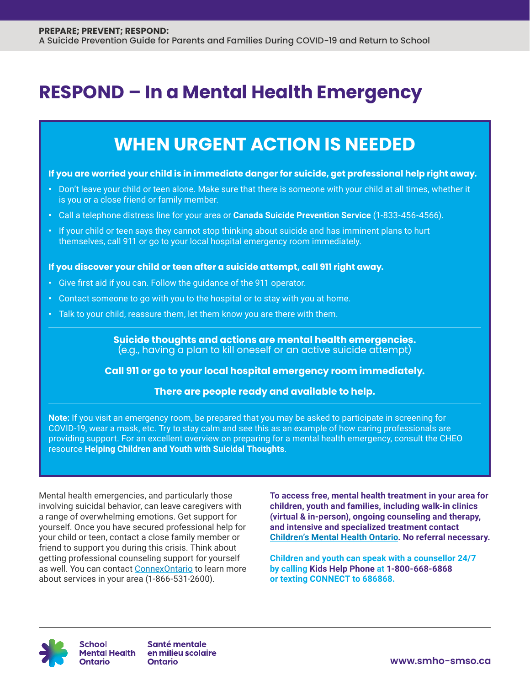### **RESPOND – In a Mental Health Emergency**

### **WHEN URGENT ACTION IS NEEDED**

#### **If you are worried your child is in immediate danger for suicide, get professional help right away.**

- **•** Don't leave your child or teen alone. Make sure that there is someone with your child at all times, whether it is you or a close friend or family member.
- **•** Call a telephone distress line for your area or **Canada Suicide Prevention Service** (1-833-456-4566).
- **•** If your child or teen says they cannot stop thinking about suicide and has imminent plans to hurt themselves, call 911 or go to your local hospital emergency room immediately.

### **If you discover your child or teen after a suicide attempt, call 911 right away.**

- **•** Give first aid if you can. Follow the guidance of the 911 operator.
- **•** Contact someone to go with you to the hospital or to stay with you at home.
- **•** Talk to your child, reassure them, let them know you are there with them.

**Suicide thoughts and actions are mental health emergencies.** (e.g., having a plan to kill oneself or an active suicide attempt)

### **Call 911 or go to your local hospital emergency room immediately.**

### **There are people ready and available to help.**

**Note:** If you visit an emergency room, be prepared that you may be asked to participate in screening for COVID-19, wear a mask, etc. Try to stay calm and see this as an example of how caring professionals are providing support. For an excellent overview on preparing for a mental health emergency, consult the CHEO resource **[Helping Children and Youth with Suicidal Thoughts](https://www.cheo.on.ca/en/resources-and-support/resources/P5012E.pdf)**.

Mental health emergencies, and particularly those involving suicidal behavior, can leave caregivers with a range of overwhelming emotions. Get support for yourself. Once you have secured professional help for your child or teen, contact a close family member or friend to support you during this crisis. Think about getting professional counseling support for yourself as well. You can contact [ConnexOntario](https://www.connexontario.ca/) to learn more about services in your area (1-866-531-2600).

**To access free, mental health treatment in your area for children, youth and families, including walk-in clinics (virtual & in-person), ongoing counseling and therapy, and intensive and specialized treatment contact [Children's Mental Health Ontario](https://cmho.org/findhelp/). No referral necessary.**

**Children and youth can speak with a counsellor 24/7 by calling [Kids Help Phone](https://kidshelpphone.ca/) at 1-800-668-6868 or texting CONNECT to 686868.**



**School** Ontario

Santé mentale Mental Health en milieu scolaire **Ontario** 

**www.smho-smso.ca**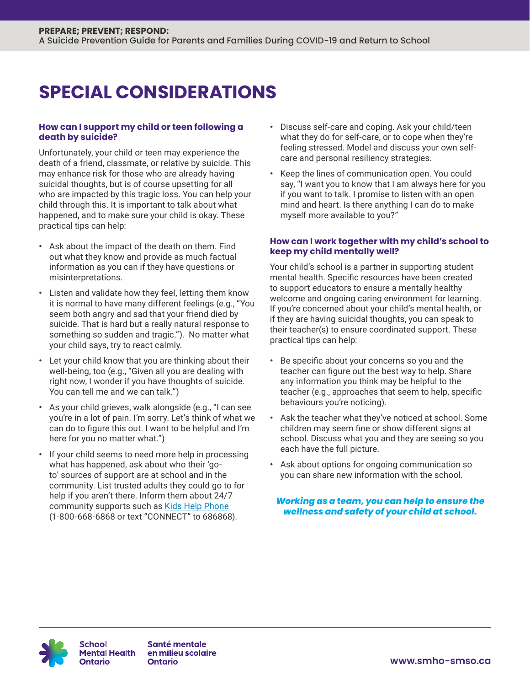## **SPECIAL CONSIDERATIONS**

### **How can I support my child or teen following a death by suicide?**

Unfortunately, your child or teen may experience the death of a friend, classmate, or relative by suicide. This may enhance risk for those who are already having suicidal thoughts, but is of course upsetting for all who are impacted by this tragic loss. You can help your child through this. It is important to talk about what happened, and to make sure your child is okay. These practical tips can help:

- **•** Ask about the impact of the death on them. Find out what they know and provide as much factual information as you can if they have questions or misinterpretations.
- **•** Listen and validate how they feel, letting them know it is normal to have many different feelings (e.g., "You seem both angry and sad that your friend died by suicide. That is hard but a really natural response to something so sudden and tragic."). No matter what your child says, try to react calmly.
- **•** Let your child know that you are thinking about their well-being, too (e.g., "Given all you are dealing with right now, I wonder if you have thoughts of suicide. You can tell me and we can talk.")
- **•** As your child grieves, walk alongside (e.g., "I can see you're in a lot of pain. I'm sorry. Let's think of what we can do to figure this out. I want to be helpful and I'm here for you no matter what.")
- **•** If your child seems to need more help in processing what has happened, ask about who their 'goto' sources of support are at school and in the community. List trusted adults they could go to for help if you aren't there. Inform them about 24/7 community supports such as [Kids Help Phone](https://kidshelpphone.ca/) (1-800-668-6868 or text "CONNECT" to 686868).
- **•** Discuss self-care and coping. Ask your child/teen what they do for self-care, or to cope when they're feeling stressed. Model and discuss your own selfcare and personal resiliency strategies.
- **•** Keep the lines of communication open. You could say, "I want you to know that I am always here for you if you want to talk. I promise to listen with an open mind and heart. Is there anything I can do to make myself more available to you?"

### **How can I work together with my child's school to keep my child mentally well?**

Your child's school is a partner in supporting student mental health. Specific resources have been created to support educators to ensure a mentally healthy welcome and ongoing caring environment for learning. If you're concerned about your child's mental health, or if they are having suicidal thoughts, you can speak to their teacher(s) to ensure coordinated support. These practical tips can help:

- **•** Be specific about your concerns so you and the teacher can figure out the best way to help. Share any information you think may be helpful to the teacher (e.g., approaches that seem to help, specific behaviours you're noticing).
- **•** Ask the teacher what they've noticed at school. Some children may seem fine or show different signs at school. Discuss what you and they are seeing so you each have the full picture.
- **•** Ask about options for ongoing communication so you can share new information with the school.

*Working as a team, you can help to ensure the wellness and safety of your child at school.*



Santé mentale en milieu scolaire **Ontario**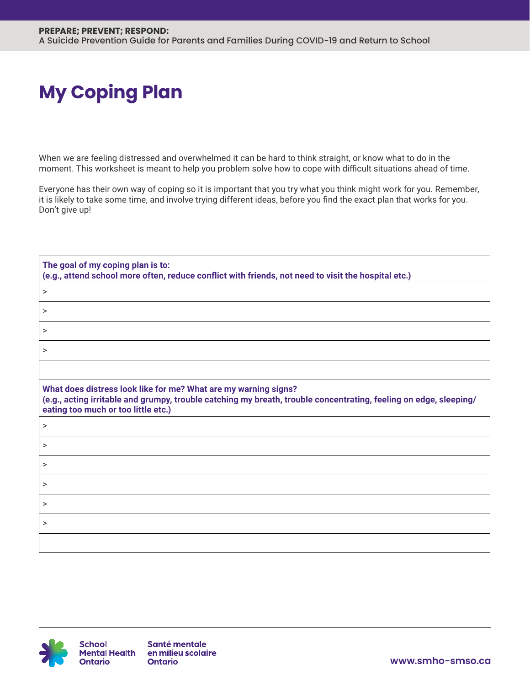# **My Coping Plan**

When we are feeling distressed and overwhelmed it can be hard to think straight, or know what to do in the moment. This worksheet is meant to help you problem solve how to cope with difficult situations ahead of time.

Everyone has their own way of coping so it is important that you try what you think might work for you. Remember, it is likely to take some time, and involve trying different ideas, before you find the exact plan that works for you. Don't give up!

| The goal of my coping plan is to:<br>(e.g., attend school more often, reduce conflict with friends, not need to visit the hospital etc.)                                                                                    |  |
|-----------------------------------------------------------------------------------------------------------------------------------------------------------------------------------------------------------------------------|--|
| $\, > \,$                                                                                                                                                                                                                   |  |
| $\rm{~}$                                                                                                                                                                                                                    |  |
| $\geq$                                                                                                                                                                                                                      |  |
| $\geq$                                                                                                                                                                                                                      |  |
|                                                                                                                                                                                                                             |  |
| What does distress look like for me? What are my warning signs?<br>(e.g., acting irritable and grumpy, trouble catching my breath, trouble concentrating, feeling on edge, sleeping/<br>eating too much or too little etc.) |  |
| $\, > \,$                                                                                                                                                                                                                   |  |
| $\geq$                                                                                                                                                                                                                      |  |
| $\geq$                                                                                                                                                                                                                      |  |
| >                                                                                                                                                                                                                           |  |
| >                                                                                                                                                                                                                           |  |
| >                                                                                                                                                                                                                           |  |
|                                                                                                                                                                                                                             |  |

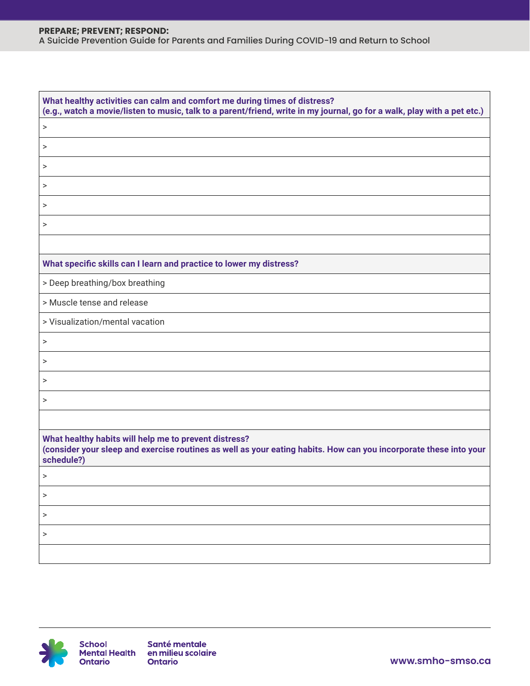### **PREPARE; PREVENT; RESPOND:** A Suicide Prevention Guide for Parents and Families During COVID-19 and Return to School

| What healthy activities can calm and comfort me during times of distress?<br>(e.g., watch a movie/listen to music, talk to a parent/friend, write in my journal, go for a walk, play with a pet etc.) |  |  |
|-------------------------------------------------------------------------------------------------------------------------------------------------------------------------------------------------------|--|--|
| $\, > \,$                                                                                                                                                                                             |  |  |
| $\, > \,$                                                                                                                                                                                             |  |  |
| >                                                                                                                                                                                                     |  |  |
| >                                                                                                                                                                                                     |  |  |
| >                                                                                                                                                                                                     |  |  |
| $\rm{~}$                                                                                                                                                                                              |  |  |
|                                                                                                                                                                                                       |  |  |
| What specific skills can I learn and practice to lower my distress?                                                                                                                                   |  |  |
| > Deep breathing/box breathing                                                                                                                                                                        |  |  |
| > Muscle tense and release                                                                                                                                                                            |  |  |
| > Visualization/mental vacation                                                                                                                                                                       |  |  |
| $\, > \,$                                                                                                                                                                                             |  |  |
| >                                                                                                                                                                                                     |  |  |
| $\, > \,$                                                                                                                                                                                             |  |  |
| $\, > \,$                                                                                                                                                                                             |  |  |
|                                                                                                                                                                                                       |  |  |
| What healthy habits will help me to prevent distress?<br>(consider your sleep and exercise routines as well as your eating habits. How can you incorporate these into your<br>schedule?)              |  |  |
|                                                                                                                                                                                                       |  |  |
| >                                                                                                                                                                                                     |  |  |
| >                                                                                                                                                                                                     |  |  |
| >                                                                                                                                                                                                     |  |  |
|                                                                                                                                                                                                       |  |  |